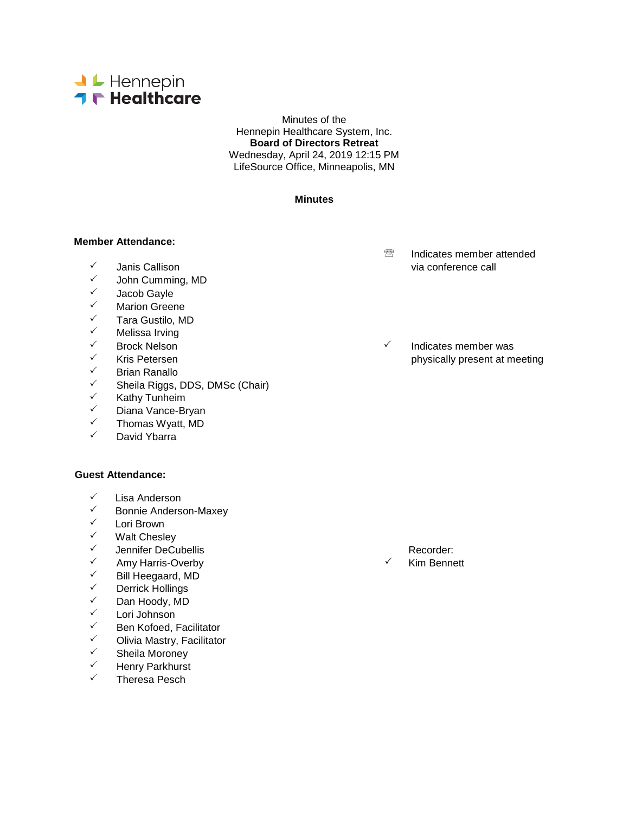

Minutes of the Hennepin Healthcare System, Inc. **Board of Directors Retreat** Wednesday, April 24, 2019 12:15 PM LifeSource Office, Minneapolis, MN

### **Minutes**

### **Member Attendance:**

- 
- <del>V</del> John Cumming, MD<br>V Jacob Gayle
- 
- V Jacob Gayle<br>V Marion Greer
- ✓ Marion Greene<br>✓ Tara Gustilo M
- <del>V</del> Tara Gustilo, MD<br>V Melissa Irving
- ✓ Melissa Irving<br>✓ Rrock Nelson
- 
- <del>V</del> Brian Ranallo<br>V Sheila Riggs
- <del>V</del> Sheila Riggs, DDS, DMSc (Chair)<br>V Kathy Tunheim
- V Kathy Tunheim<br>V Diana Vance-Br
- V Diana Vance-Bryan<br>V Thomas Wyatt MD
- $\checkmark$  Thomas Wyatt, MD
- David Ybarra

### **Guest Attendance:**

- V Lisa Anderson<br>V Ronnie Anderso
- Bonnie Anderson-Maxey
- V Lori Brown<br>V Malt Chesle
- V Walt Chesley<br>V Lennifer DeCu
- V Jennifer DeCubellis Recorder:<br>V Amy Harris-Overby Recorder: V Kim Benne
- Amy Harris-Overby Kim Bennett
- V Bill Heegaard, MD<br>V Derrick Hollings
- ✓ Derrick Hollings<br>✓ Dan Hoody MD
- <del>V</del> Dan Hoody, MD<br>V Lori Johnson
- ✓ Lori Johnson<br>✓ Ren Kofoed I
- √ Ben Kofoed, Facilitator<br>✓ Olivia Mastry, Facilitato
- $\checkmark$  Olivia Mastry, Facilitator<br> $\checkmark$  Sheila Moroney
- V Sheila Moroney<br>V Henry Parkhurst
- ← Henry Parkhurst<br>← Therese Peseb
- Theresa Pesch
- **<sup><sup>®</sup>** Indicates member attended</sup> via conference call via conference call via conference call
- Brock Nelson Indicates member was Kris Petersen **physically present at meeting**